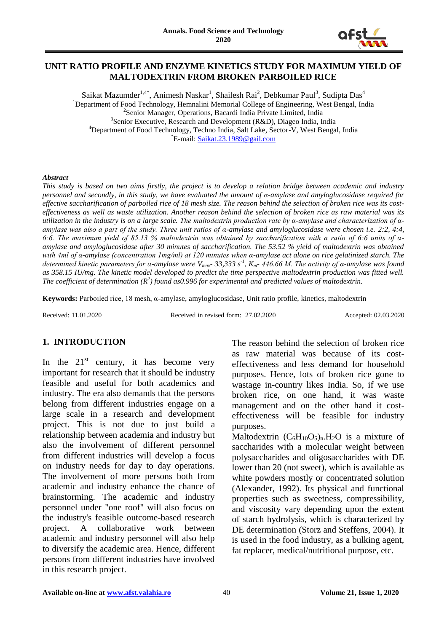

#### **UNIT RATIO PROFILE AND ENZYME KINETICS STUDY FOR MAXIMUM YIELD OF MALTODEXTRIN FROM BROKEN PARBOILED RICE**

Saikat Mazumder $^{1,4^{\ast}}$ , Animesh Naskar $^1$ , Shailesh Rai $^2$ , Debkumar Paul $^3$ , Sudipta Das $^4$ <sup>1</sup>Department of Food Technology, Hemnalini Memorial College of Engineering, West Bengal, India <sup>2</sup>Senior Manager, Operations, Bacardi India Private Limited, India <sup>3</sup>Senior Executive, Research and Development (R&D), Diageo India, India <sup>4</sup>Department of Food Technology, Techno India, Salt Lake, Sector-V, West Bengal, India \*E-mail: [Saikat.23.1989@gail.com](mailto:Saikat.23.1989@gmail.com)

#### *Abstract*

*This study is based on two aims firstly, the project is to develop a relation bridge between academic and industry personnel and secondly, in this study, we have evaluated the amount of α-amylase and amyloglucosidase required for effective saccharification of parboiled rice of 18 mesh size. The reason behind the selection of broken rice was its costeffectiveness as well as waste utilization. Another reason behind the selection of broken rice as raw material was its utilization in the industry is on a large scale. The maltodextrin production rate by α-amylase and characterization of αamylase was also a part of the study. Three unit ratios of α-amylase and amyloglucosidase were chosen i.e. 2:2, 4:4, 6:6. The maximum yield of 85.13 % maltodextrin was obtained by saccharification with a ratio of 6:6 units of αamylase and amyloglucosidase after 30 minutes of saccharification. The 53.52 % yield of maltodextrin was obtained with 4ml of α-amylase (concentration 1mg/ml) at 120 minutes when α-amylase act alone on rice gelatinized starch. The determined kinetic parameters for α-amylase were Vmax- 33,333 s-1 , Km- 446.66 M. The activity of α-amylase was found as 358.15 IU/mg. The kinetic model developed to predict the time perspective maltodextrin production was fitted well.*  The coefficient of determination ( $R^2$ ) found as0.996 for experimental and predicted values of maltodextrin.

**Keywords:** Parboiled rice, 18 mesh, α-amylase, amyloglucosidase, Unit ratio profile, kinetics, maltodextrin

Received: 11.01.2020 Received in revised form: 27.02.2020 Accepted: 02.03.2020

# **1. INTRODUCTION**

In the  $21<sup>st</sup>$  century, it has become very important for research that it should be industry feasible and useful for both academics and industry. The era also demands that the persons belong from different industries engage on a large scale in a research and development project. This is not due to just build a relationship between academia and industry but also the involvement of different personnel from different industries will develop a focus on industry needs for day to day operations. The involvement of more persons both from academic and industry enhance the chance of brainstorming. The academic and industry personnel under "one roof" will also focus on the industry's feasible outcome-based research project. A collaborative work between academic and industry personnel will also help to diversify the academic area. Hence, different persons from different industries have involved in this research project.

The reason behind the selection of broken rice as raw material was because of its costeffectiveness and less demand for household purposes. Hence, lots of broken rice gone to wastage in-country likes India. So, if we use broken rice, on one hand, it was waste management and on the other hand it costeffectiveness will be feasible for industry purposes.

Maltodextrin  $(C_6H_{10}O_5)_n.H_2O$  is a mixture of saccharides with a molecular weight between polysaccharides and oligosaccharides with DE lower than 20 (not sweet), which is available as white powders mostly or concentrated solution (Alexander, 1992). Its physical and functional properties such as sweetness, compressibility, and viscosity vary depending upon the extent of starch hydrolysis, which is characterized by DE determination (Storz and Steffens, 2004). It is used in the food industry, as a bulking agent, fat replacer, medical/nutritional purpose, etc.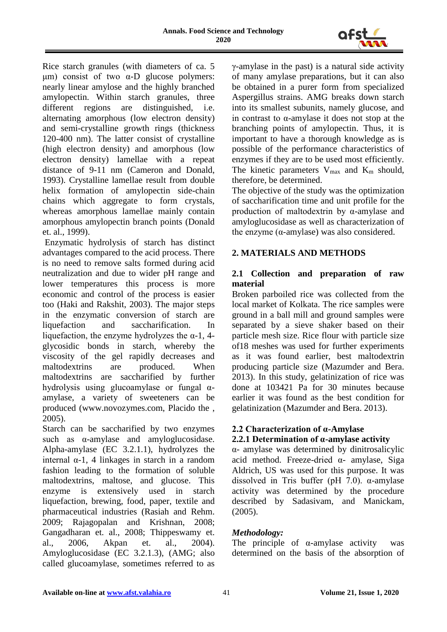

Rice starch granules (with diameters of ca. 5 μm) consist of two  $α$ -D glucose polymers: nearly linear amylose and the highly branched amylopectin. Within starch granules, three different regions are distinguished, i.e. alternating amorphous (low electron density) and semi-crystalline growth rings (thickness 120-400 nm). The latter consist of crystalline (high electron density) and amorphous (low electron density) lamellae with a repeat distance of 9-11 nm (Cameron and Donald, 1993). Crystalline lamellae result from double helix formation of amylopectin side-chain chains which aggregate to form crystals, whereas amorphous lamellae mainly contain amorphous amylopectin branch points (Donald et. al., 1999).

Enzymatic hydrolysis of starch has distinct advantages compared to the acid process. There is no need to remove salts formed during acid neutralization and due to wider pH range and lower temperatures this process is more economic and control of the process is easier too (Haki and Rakshit, 2003). The major steps in the enzymatic conversion of starch are liquefaction and saccharification. In liquefaction, the enzyme hydrolyzes the  $\alpha$ -1, 4glycosidic bonds in starch, whereby the viscosity of the gel rapidly decreases and maltodextrins are produced. When maltodextrins are saccharified by further hydrolysis using glucoamylase or fungal αamylase, a variety of sweeteners can be produced (www.novozymes.com, Placido the , 2005).

Starch can be saccharified by two enzymes such as  $\alpha$ -amylase and amyloglucosidase. Alpha-amylase (EC 3.2.1.1), hydrolyzes the internal α-1, 4 linkages in starch in a random fashion leading to the formation of soluble maltodextrins, maltose, and glucose. This enzyme is extensively used in starch liquefaction, brewing, food, paper, textile and pharmaceutical industries (Rasiah and Rehm. 2009; Rajagopalan and Krishnan, 2008; Gangadharan et. al., 2008; Thippeswamy et. al., 2006, Akpan et. al., 2004). Amyloglucosidase (EC 3.2.1.3), (AMG; also called glucoamylase, sometimes referred to as γ-amylase in the past) is a natural side activity of many amylase preparations, but it can also be obtained in a purer form from specialized Aspergillus strains. AMG breaks down starch into its smallest subunits, namely glucose, and in contrast to α-amylase it does not stop at the branching points of amylopectin. Thus, it is important to have a thorough knowledge as is possible of the performance characteristics of enzymes if they are to be used most efficiently. The kinetic parameters  $V_{\text{max}}$  and  $K_{\text{m}}$  should, therefore, be determined.

The objective of the study was the optimization of saccharification time and unit profile for the production of maltodextrin by α-amylase and amyloglucosidase as well as characterization of the enzyme  $(α-amylase)$  was also considered.

# **2. MATERIALS AND METHODS**

# **2.1 Collection and preparation of raw material**

Broken parboiled rice was collected from the local market of Kolkata. The rice samples were ground in a ball mill and ground samples were separated by a sieve shaker based on their particle mesh size. Rice flour with particle size of18 meshes was used for further experiments as it was found earlier, best maltodextrin producing particle size (Mazumder and Bera. 2013). In this study, gelatinization of rice was done at 103421 Pa for 30 minutes because earlier it was found as the best condition for gelatinization (Mazumder and Bera. 2013).

#### **2.2 Characterization of α-Amylase 2.2.1 Determination of α-amylase activity**

α- amylase was determined by dinitrosalicylic acid method. Freeze-dried α- amylase, Siga Aldrich, US was used for this purpose. It was dissolved in Tris buffer (pH 7.0).  $\alpha$ -amylase activity was determined by the procedure described by Sadasivam, and Manickam, (2005).

# *Methodology:*

The principle of  $\alpha$ -amylase activity was determined on the basis of the absorption of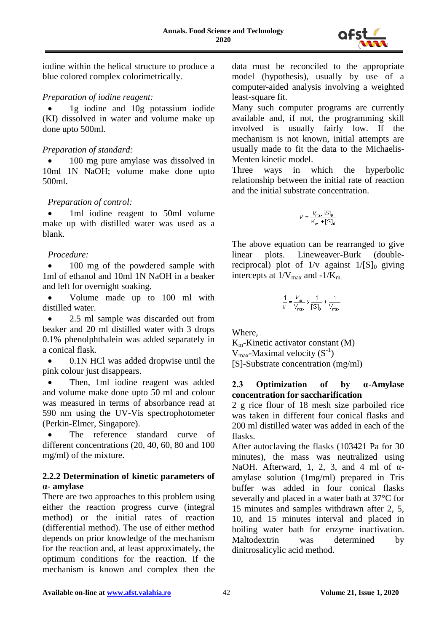

iodine within the helical structure to produce a blue colored complex colorimetrically.

#### *Preparation of iodine reagent:*

 1g iodine and 10g potassium iodide (KI) dissolved in water and volume make up done upto 500ml.

#### *Preparation of standard:*

 100 mg pure amylase was dissolved in 10ml 1N NaOH; volume make done upto 500ml.

# *Preparation of control:*

 1ml iodine reagent to 50ml volume make up with distilled water was used as a blank.

#### *Procedure:*

 100 mg of the powdered sample with 1ml of ethanol and 10ml 1N NaOH in a beaker and left for overnight soaking.

 Volume made up to 100 ml with distilled water.

 2.5 ml sample was discarded out from beaker and 20 ml distilled water with 3 drops 0.1% phenolphthalein was added separately in a conical flask.

 0.1N HCl was added dropwise until the pink colour just disappears.

 Then, 1ml iodine reagent was added and volume make done upto 50 ml and colour was measured in terms of absorbance read at 590 nm using the UV-Vis spectrophotometer (Perkin-Elmer, Singapore).

 The reference standard curve of different concentrations (20, 40, 60, 80 and 100 mg/ml) of the mixture.

# **2.2.2 Determination of kinetic parameters of α- amylase**

There are two approaches to this problem using either the reaction progress curve (integral method) or the initial rates of reaction (differential method). The use of either method depends on prior knowledge of the mechanism for the reaction and, at least approximately, the optimum conditions for the reaction. If the mechanism is known and complex then the

data must be reconciled to the appropriate model (hypothesis), usually by use of a computer-aided analysis involving a weighted least-square fit.

Many such computer programs are currently available and, if not, the programming skill involved is usually fairly low. If the mechanism is not known, initial attempts are usually made to fit the data to the Michaelis-Menten kinetic model.

Three ways in which the hyperbolic relationship between the initial rate of reaction and the initial substrate concentration.

$$
V = \frac{V_{\text{max}}[S]_0}{K_m + [S]_0}
$$

The above equation can be rearranged to give linear plots. Lineweaver-Burk (doublereciprocal) plot of  $1/v$  against  $1/[S]_0$  giving intercepts at  $1/V_{\text{max}}$  and  $-1/K_{\text{m}}$ .

$$
\frac{1}{V} = \frac{K_m}{V_{\text{max}}} \times \frac{1}{[S]_0} + \frac{1}{V_{\text{max}}}
$$

Where,

 $K_m$ -Kinetic activator constant  $(M)$  $V_{\text{max}}$ -Maximal velocity  $(S^{-1})$ [S]-Substrate concentration (mg/ml)

#### **2.3 Optimization of by α-Amylase concentration for saccharification**

2 g rice flour of 18 mesh size parboiled rice was taken in different four conical flasks and 200 ml distilled water was added in each of the flasks.

After autoclaving the flasks (103421 Pa for 30 minutes), the mass was neutralized using NaOH. Afterward, 1, 2, 3, and 4 ml of  $\alpha$ amylase solution (1mg/ml) prepared in Tris buffer was added in four conical flasks severally and placed in a water bath at 37°C for 15 minutes and samples withdrawn after 2, 5, 10, and 15 minutes interval and placed in boiling water bath for enzyme inactivation. Maltodextrin was determined by dinitrosalicylic acid method.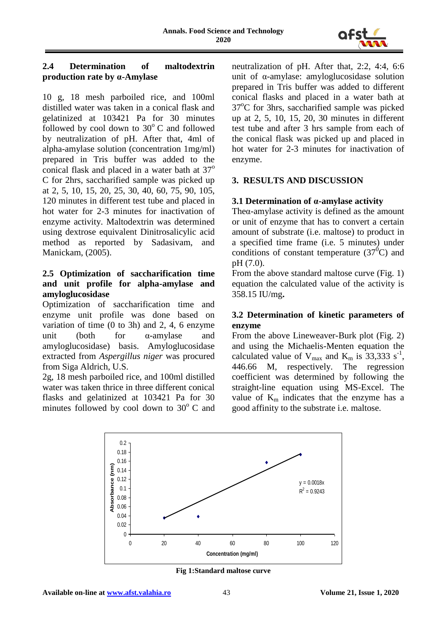

### **2.4 Determination of maltodextrin production rate by α-Amylase**

10 g, 18 mesh parboiled rice, and 100ml distilled water was taken in a conical flask and gelatinized at 103421 Pa for 30 minutes followed by cool down to  $30^{\circ}$  C and followed by neutralization of pH. After that, 4ml of alpha-amylase solution (concentration 1mg/ml) prepared in Tris buffer was added to the conical flask and placed in a water bath at  $37^\circ$ C for 2hrs, saccharified sample was picked up at 2, 5, 10, 15, 20, 25, 30, 40, 60, 75, 90, 105, 120 minutes in different test tube and placed in hot water for 2-3 minutes for inactivation of enzyme activity. Maltodextrin was determined using dextrose equivalent Dinitrosalicylic acid method as reported by Sadasivam, and Manickam, (2005).

#### **2.5 Optimization of saccharification time and unit profile for alpha-amylase and amyloglucosidase**

Optimization of saccharification time and enzyme unit profile was done based on variation of time (0 to 3h) and 2, 4, 6 enzyme unit (both for α-amylase and amyloglucosidase) basis. Amyloglucosidase extracted from *Aspergillus niger* was procured from Siga Aldrich, U.S.

2g, 18 mesh parboiled rice, and 100ml distilled water was taken thrice in three different conical flasks and gelatinized at 103421 Pa for 30 minutes followed by cool down to  $30^{\circ}$  C and

neutralization of pH. After that, 2:2, 4:4, 6:6 unit of α-amylase: amyloglucosidase solution prepared in Tris buffer was added to different conical flasks and placed in a water bath at  $37^{\circ}$ C for 3hrs, saccharified sample was picked up at 2, 5, 10, 15, 20, 30 minutes in different test tube and after 3 hrs sample from each of the conical flask was picked up and placed in hot water for 2-3 minutes for inactivation of enzyme.

# **3. RESULTS AND DISCUSSION**

# **3.1 Determination of α-amylase activity**

The $\alpha$ -amylase activity is defined as the amount or unit of enzyme that has to convert a certain amount of substrate (i.e. maltose) to product in a specified time frame (i.e. 5 minutes) under conditions of constant temperature  $(37^0C)$  and pH (7.0).

From the above standard maltose curve (Fig. 1) equation the calculated value of the activity is 358.15 IU/mg**.**

#### **3.2 Determination of kinetic parameters of enzyme**

From the above Lineweaver-Burk plot (Fig. 2) and using the Michaelis-Menten equation the calculated value of  $V_{\text{max}}$  and  $K_{\text{m}}$  is 33,333 s<sup>-1</sup>, 446.66 M, respectively. The regression coefficient was determined by following the straight-line equation using MS-Excel. The value of  $K_m$  indicates that the enzyme has a good affinity to the substrate i.e. maltose.



**Fig 1:Standard maltose curve**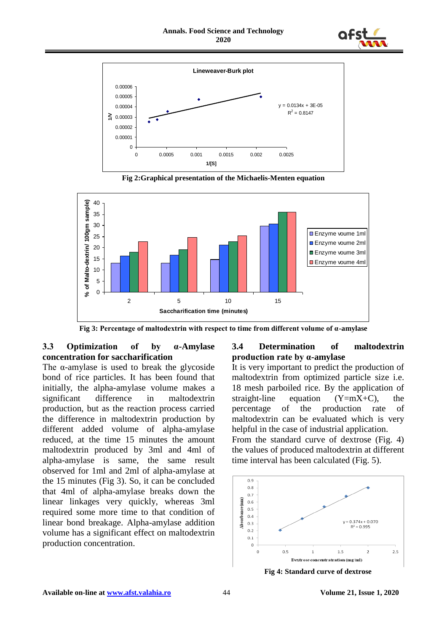



**Fig 2:Graphical presentation of the Michaelis-Menten equation** 



**Fig 3: Percentage of maltodextrin with respect to time from different volume of α-amylase**

# **3.3 Optimization of by α-Amylase concentration for saccharification**

The  $\alpha$ -amylase is used to break the glycoside bond of rice particles. It has been found that initially, the alpha-amylase volume makes a significant difference in maltodextrin production, but as the reaction process carried the difference in maltodextrin production by different added volume of alpha-amylase reduced, at the time 15 minutes the amount maltodextrin produced by 3ml and 4ml of alpha-amylase is same, the same result observed for 1ml and 2ml of alpha-amylase at the 15 minutes (Fig 3). So, it can be concluded that 4ml of alpha-amylase breaks down the linear linkages very quickly, whereas 3ml required some more time to that condition of linear bond breakage. Alpha-amylase addition volume has a significant effect on maltodextrin production concentration.

#### **3.4 Determination of maltodextrin production rate by α-amylase**

It is very important to predict the production of maltodextrin from optimized particle size i.e. 18 mesh parboiled rice. By the application of straight-line equation  $(Y=mX+C)$ , the percentage of the production rate of maltodextrin can be evaluated which is very helpful in the case of industrial application. From the standard curve of dextrose (Fig. 4) the values of produced maltodextrin at different

time interval has been calculated (Fig. 5).  $_{0.9}$  $0.8$ 0.7 Absorbance (nm)  $0.6$  $0.5$  $0.4$  $v = 0.374x + 0.070$  $0.3$  $R^2 = 0.995$  $0.2$  $0.1$  $\Omega$  $0.5$  $1.5$  $2.5$  $\overline{0}$  $\mathbf{1}$  $\overline{c}$ Dextrose concentratration (mg/ml)

**Fig 4: Standard curve of dextrose**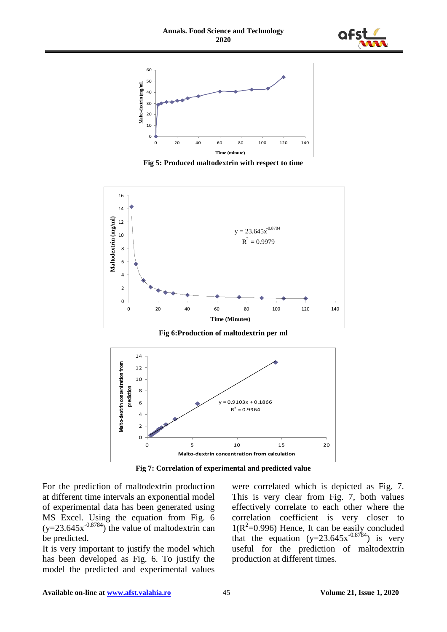



**Fig 5: Produced maltodextrin with respect to time**



**Fig 6:Production of maltodextrin per ml**



**Fig 7: Correlation of experimental and predicted value**

For the prediction of maltodextrin production at different time intervals an exponential model of experimental data has been generated using MS Excel. Using the equation from Fig. 6  $(y=23.645x^{0.8784})$  the value of maltodextrin can be predicted.

It is very important to justify the model which has been developed as Fig. 6. To justify the model the predicted and experimental values were correlated which is depicted as Fig. 7. This is very clear from Fig. 7, both values effectively correlate to each other where the correlation coefficient is very closer to  $1(R^2=0.996)$  Hence, It can be easily concluded that the equation  $(y=23.645x^{-0.8784})$  is very useful for the prediction of maltodextrin production at different times.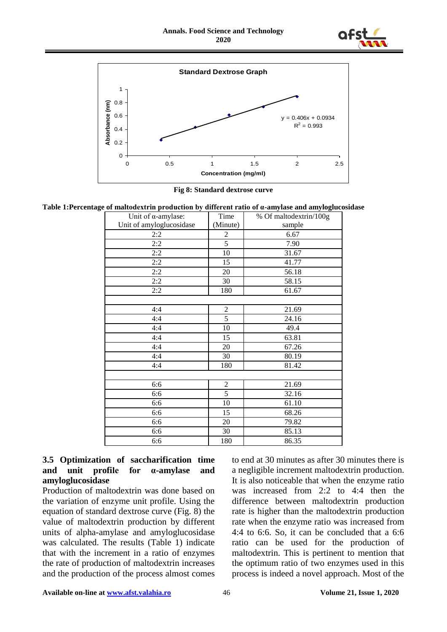



**Fig 8: Standard dextrose curve**

**Table 1:Percentage of maltodextrin production by different ratio of α-amylase and amyloglucosidase**

| Unit of $\alpha$ -amylase: | Time           | % Of maltodextrin/100g |
|----------------------------|----------------|------------------------|
| Unit of amyloglucosidase   | (Minute)       | sample                 |
| 2:2                        | 2              | 6.67                   |
| 2:2                        | $\overline{5}$ | 7.90                   |
| 2:2                        | 10             | 31.67                  |
| 2:2                        | 15             | 41.77                  |
| 2:2                        | 20             | 56.18                  |
| 2:2                        | 30             | 58.15                  |
| 2:2                        | 180            | 61.67                  |
|                            |                |                        |
| 4:4                        | $\overline{c}$ | 21.69                  |
| 4:4                        | 5              | 24.16                  |
| 4:4                        | 10             | 49.4                   |
| 4:4                        | 15             | 63.81                  |
| 4:4                        | 20             | 67.26                  |
| 4:4                        | 30             | 80.19                  |
| 4:4                        | 180            | 81.42                  |
|                            |                |                        |
| 6:6                        | $\overline{2}$ | 21.69                  |
| 6:6                        | $\overline{5}$ | 32.16                  |
| 6:6                        | 10             | 61.10                  |
| 6:6                        | 15             | 68.26                  |
| 6:6                        | 20             | 79.82                  |
| 6:6                        | 30             | 85.13                  |
| 6:6                        | 180            | 86.35                  |

#### **3.5 Optimization of saccharification time and unit profile for α-amylase and amyloglucosidase**

Production of maltodextrin was done based on the variation of enzyme unit profile. Using the equation of standard dextrose curve (Fig. 8) the value of maltodextrin production by different units of alpha-amylase and amyloglucosidase was calculated. The results (Table 1) indicate that with the increment in a ratio of enzymes the rate of production of maltodextrin increases and the production of the process almost comes

to end at 30 minutes as after 30 minutes there is a negligible increment maltodextrin production. It is also noticeable that when the enzyme ratio was increased from 2:2 to 4:4 then the difference between maltodextrin production rate is higher than the maltodextrin production rate when the enzyme ratio was increased from 4:4 to 6:6. So, it can be concluded that a 6:6 ratio can be used for the production of maltodextrin. This is pertinent to mention that the optimum ratio of two enzymes used in this process is indeed a novel approach. Most of the